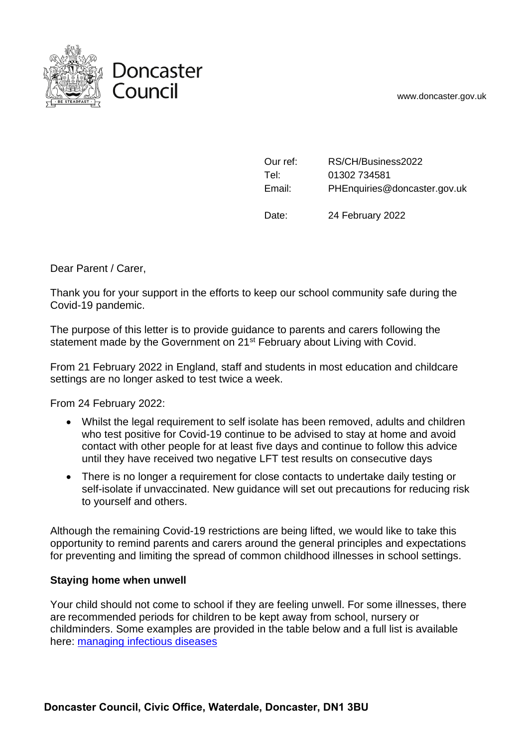www.doncaster.gov.uk



| Our ref: | RS/CH/Business2022           |
|----------|------------------------------|
| Tel:     | 01302 734581                 |
| Email:   | PHEnquiries@doncaster.gov.uk |

Date: 24 February 2022

Dear Parent / Carer,

Thank you for your support in the efforts to keep our school community safe during the Covid-19 pandemic.

The purpose of this letter is to provide guidance to parents and carers following the statement made by the Government on 21<sup>st</sup> February about Living with Covid.

From 21 February 2022 in England, staff and students in most education and childcare settings are no longer asked to test twice a week.

From 24 February 2022:

- Whilst the legal requirement to self isolate has been removed, adults and children who test positive for Covid-19 continue to be advised to stay at home and avoid contact with other people for at least five days and continue to follow this advice until they have received two negative LFT test results on consecutive days
- There is no longer a requirement for close contacts to undertake daily testing or self-isolate if unvaccinated. New guidance will set out precautions for reducing risk to yourself and others.

Although the remaining Covid-19 restrictions are being lifted, we would like to take this opportunity to remind parents and carers around the general principles and expectations for preventing and limiting the spread of common childhood illnesses in school settings.

## **Staying home when unwell**

Your child should not come to school if they are feeling unwell. For some illnesses, there are recommended periods for children to be kept away from school, nursery or childminders. Some examples are provided in the table below and a full list is available here: [managing infectious diseases](https://www.gov.uk/government/publications/health-protection-in-schools-and-other-childcare-facilities/chapter-9-managing-specific-infectious-diseases)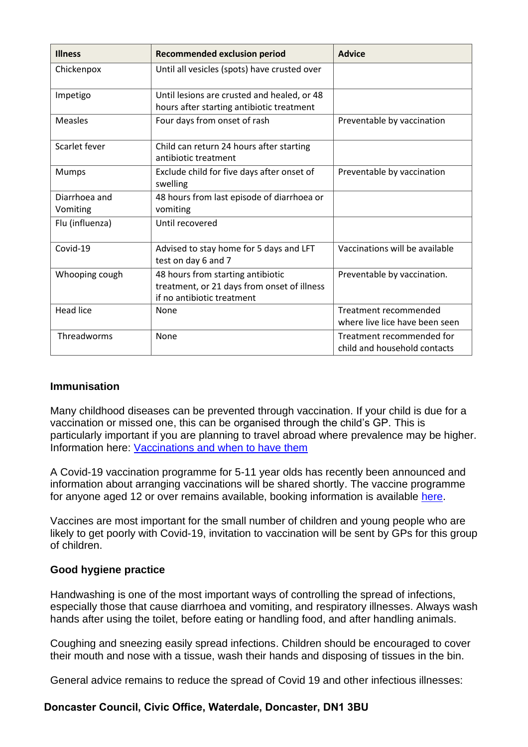| <b>Illness</b>            | <b>Recommended exclusion period</b>                                                                            | <b>Advice</b>                                             |
|---------------------------|----------------------------------------------------------------------------------------------------------------|-----------------------------------------------------------|
| Chickenpox                | Until all vesicles (spots) have crusted over                                                                   |                                                           |
| Impetigo                  | Until lesions are crusted and healed, or 48<br>hours after starting antibiotic treatment                       |                                                           |
| <b>Measles</b>            | Four days from onset of rash                                                                                   | Preventable by vaccination                                |
| Scarlet fever             | Child can return 24 hours after starting<br>antibiotic treatment                                               |                                                           |
| Mumps                     | Exclude child for five days after onset of<br>swelling                                                         | Preventable by vaccination                                |
| Diarrhoea and<br>Vomiting | 48 hours from last episode of diarrhoea or<br>vomiting                                                         |                                                           |
| Flu (influenza)           | Until recovered                                                                                                |                                                           |
| Covid-19                  | Advised to stay home for 5 days and LFT<br>test on day 6 and 7                                                 | Vaccinations will be available                            |
| Whooping cough            | 48 hours from starting antibiotic<br>treatment, or 21 days from onset of illness<br>if no antibiotic treatment | Preventable by vaccination.                               |
| <b>Head lice</b>          | None                                                                                                           | Treatment recommended<br>where live lice have been seen   |
| Threadworms               | None                                                                                                           | Treatment recommended for<br>child and household contacts |

## **Immunisation**

Many childhood diseases can be prevented through vaccination. If your child is due for a vaccination or missed one, this can be organised through the child's GP. This is particularly important if you are planning to travel abroad where prevalence may be higher. Information here: [Vaccinations and when to have them](https://www.nhs.uk/conditions/vaccinations/nhs-vaccinations-and-when-to-have-them/)

A Covid-19 vaccination programme for 5-11 year olds has recently been announced and information about arranging vaccinations will be shared shortly. The vaccine programme for anyone aged 12 or over remains available, booking information is available [here.](https://www.nhs.uk/conditions/coronavirus-covid-19/coronavirus-vaccination/book-coronavirus-vaccination/)

Vaccines are most important for the small number of children and young people who are likely to get poorly with Covid-19, invitation to vaccination will be sent by GPs for this group of children.

## **Good hygiene practice**

Handwashing is one of the most important ways of controlling the spread of infections, especially those that cause diarrhoea and vomiting, and respiratory illnesses. Always wash hands after using the toilet, before eating or handling food, and after handling animals.

Coughing and sneezing easily spread infections. Children should be encouraged to cover their mouth and nose with a tissue, wash their hands and disposing of tissues in the bin.

General advice remains to reduce the spread of Covid 19 and other infectious illnesses:

## **Doncaster Council, Civic Office, Waterdale, Doncaster, DN1 3BU**